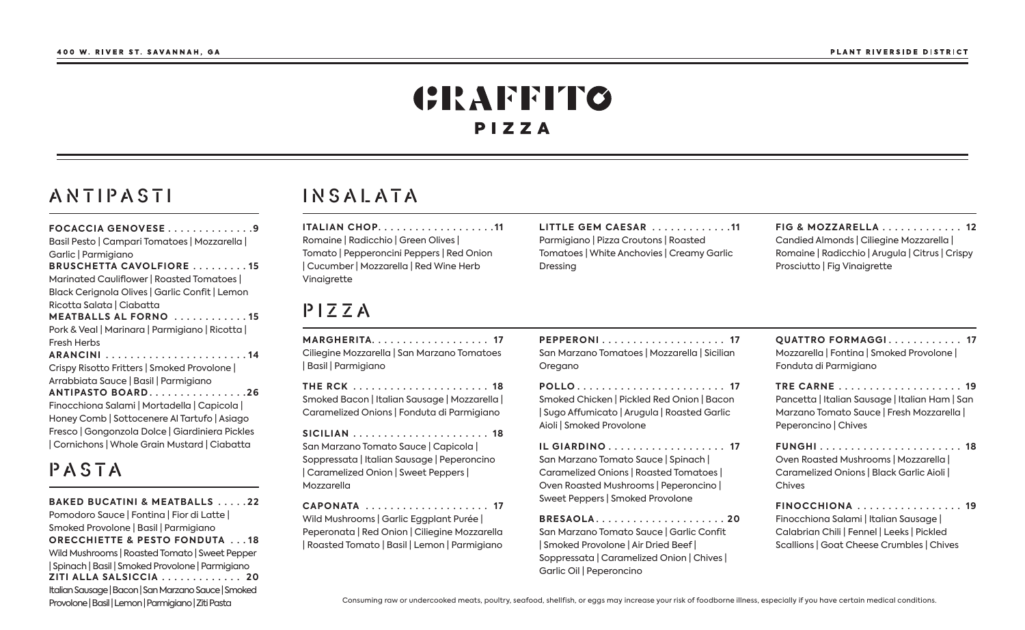# CRAFFITO PIZZA

#### ANTIPASTI

| <b>FOCACCIA GENOVESE9</b><br>Basil Pesto   Campari Tomatoes   Mozzarella  <br>Garlic   Parmigiano |
|---------------------------------------------------------------------------------------------------|
| <b>BRUSCHETTA CAVOLFIORE 15</b>                                                                   |
| Marinated Cauliflower   Roasted Tomatoes                                                          |
| Black Cerignola Olives   Garlic Confit   Lemon                                                    |
| Ricotta Salata   Ciabatta                                                                         |
| <b>MEATBALLS AL FORNO</b> 15                                                                      |
| Pork & Veal   Marinara   Parmigiano   Ricotta                                                     |
| <b>Fresh Herbs</b>                                                                                |
|                                                                                                   |
| Crispy Risotto Fritters   Smoked Provolone                                                        |
| Arrabbiata Sauce   Basil   Parmigiano                                                             |
| ANTIPASTO BOARD26                                                                                 |
| Finocchiona Salami   Mortadella   Capicola                                                        |
| Honey Comb   Sottocenere Al Tartufo   Asiago                                                      |
| Fresco   Gongonzola Dolce   Giardiniera Pickles                                                   |
| Cornichons   Whole Grain Mustard   Ciabatta                                                       |

# PASTA

**BAKED BUCATINI & MEATBALLS .....22** Pomodoro Sauce | Fontina | Fior di Latte | Smoked Provolone | Basil | Parmigiano **ORECCHIETTE & PESTO FONDUTA ...18** Wild Mushrooms | Roasted Tomato | Sweet Pepper I Spinach I Basil I Smoked Provolone I Parmiaiano ZITI ALLA SALSICCIA . . . . . . . . . . . . . 20 Italian Sausage | Bacon | San Marzano Sauce | Smoked Provolone | Basil | Lemon | Parmigiano | Ziti Pasta

### INSALATA

ITALIAN CHOP...................11 Romaine | Radicchio | Green Olives | Tomato | Pepperoncini Peppers | Red Onion | Cucumber | Mozzarella | Red Wine Herb Vinaigrette

#### $P$  $Z$  $Z$  $A$

MARGHERITA.................... 17 Ciliegine Mozzarella | San Marzano Tomatoes | Basil | Parmigiano

**THE RCK** ....................... 18 Smoked Bacon | Italian Sausage | Mozzarella | Caramelized Onions | Fonduta di Parmigiano

San Marzano Tomato Sauce | Capicola | Soppressata | Italian Sausage | Peperoncino | Caramelized Onion | Sweet Peppers | Mozzarella

Wild Mushrooms | Garlic Eggplant Purée | Peperonata | Red Onion | Ciliegine Mozzarella Roasted Tomato | Basil | Lemon | Parmigiano

PEPPERONI.................... 17 San Marzano Tomatoes | Mozzarella | Sicilian

LITTLE GEM CAESAR .............11

Tomatoes | White Anchovies | Creamy Garlic

Parmigiano | Pizza Croutons | Roasted

Dressing

Oregano

POLLO........................ 17 Smoked Chicken | Pickled Red Onion | Bacon Sugo Affumicato | Arugula | Roasted Garlic Aioli | Smoked Provolone

IL GIARDINO . . . . . . . . . . . . . . . . . . 17 San Marzano Tomato Sauce | Spinach | Caramelized Onions | Roasted Tomatoes | Oven Roasted Mushrooms | Peperoncino | Sweet Peppers | Smoked Provolone

BRESAOLA......................20 San Marzano Tomato Sauce | Garlic Confit Smoked Provolone | Air Dried Beef | Soppressata | Caramelized Onion | Chives | Garlic Oil | Peperoncino

FIG & MOZZARELLA . . . . . . . . . . . . 12 Candied Almonds | Ciliegine Mozzarella | Romaine | Radicchio | Arugula | Citrus | Crispy Prosciutto | Fig Vinaigrette

**OUATTRO FORMAGGI........... 17** Mozzarella | Fontina | Smoked Provolone | Fonduta di Parmigiano

Pancetta | Italian Sausage | Italian Ham | San Marzano Tomato Sauce | Fresh Mozzarella | Peperoncino | Chives

**FUNGHI**........................ 18 Oven Roasted Mushrooms | Mozzarella | Caramelized Onions | Black Garlic Aioli | Chives

FINOCCHIONA ................. 19 Finocchiona Salami | Italian Sausage | Calabrian Chili | Fennel | Leeks | Pickled Scallions | Goat Cheese Crumbles | Chives